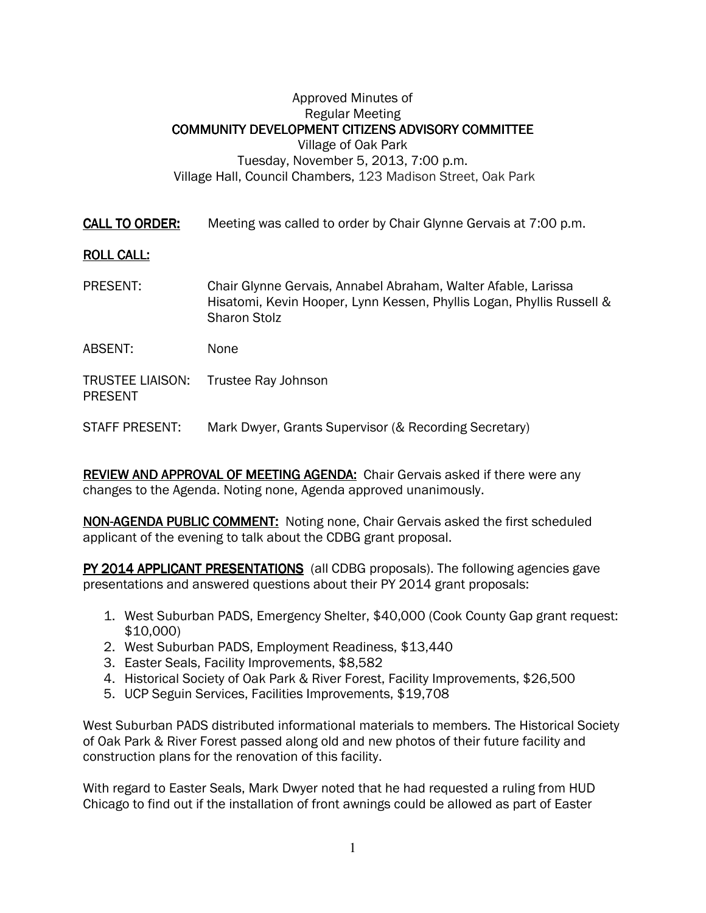## Approved Minutes of Regular Meeting COMMUNITY DEVELOPMENT CITIZENS ADVISORY COMMITTEE Village of Oak Park Tuesday, November 5, 2013, 7:00 p.m. Village Hall, Council Chambers, 123 Madison Street, Oak Park

CALL TO ORDER: Meeting was called to order by Chair Glynne Gervais at 7:00 p.m.

## **ROLL CALL:**

- PRESENT: Chair Glynne Gervais, Annabel Abraham, Walter Afable, Larissa Hisatomi, Kevin Hooper, Lynn Kessen, Phyllis Logan, Phyllis Russell & Sharon Stolz
- ABSENT: None

TRUSTEE LIAISON: Trustee Ray Johnson PRESENT

STAFF PRESENT: Mark Dwyer, Grants Supervisor (& Recording Secretary)

REVIEW AND APPROVAL OF MEETING AGENDA: Chair Gervais asked if there were any changes to the Agenda. Noting none, Agenda approved unanimously.

NON-AGENDA PUBLIC COMMENT: Noting none, Chair Gervais asked the first scheduled applicant of the evening to talk about the CDBG grant proposal.

PY 2014 APPLICANT PRESENTATIONS (all CDBG proposals). The following agencies gave presentations and answered questions about their PY 2014 grant proposals:

- 1. West Suburban PADS, Emergency Shelter, \$40,000 (Cook County Gap grant request: \$10,000)
- 2. West Suburban PADS, Employment Readiness, \$13,440
- 3. Easter Seals, Facility Improvements, \$8,582
- 4. Historical Society of Oak Park & River Forest, Facility Improvements, \$26,500
- 5. UCP Seguin Services, Facilities Improvements, \$19,708

West Suburban PADS distributed informational materials to members. The Historical Society of Oak Park & River Forest passed along old and new photos of their future facility and construction plans for the renovation of this facility.

With regard to Easter Seals, Mark Dwyer noted that he had requested a ruling from HUD Chicago to find out if the installation of front awnings could be allowed as part of Easter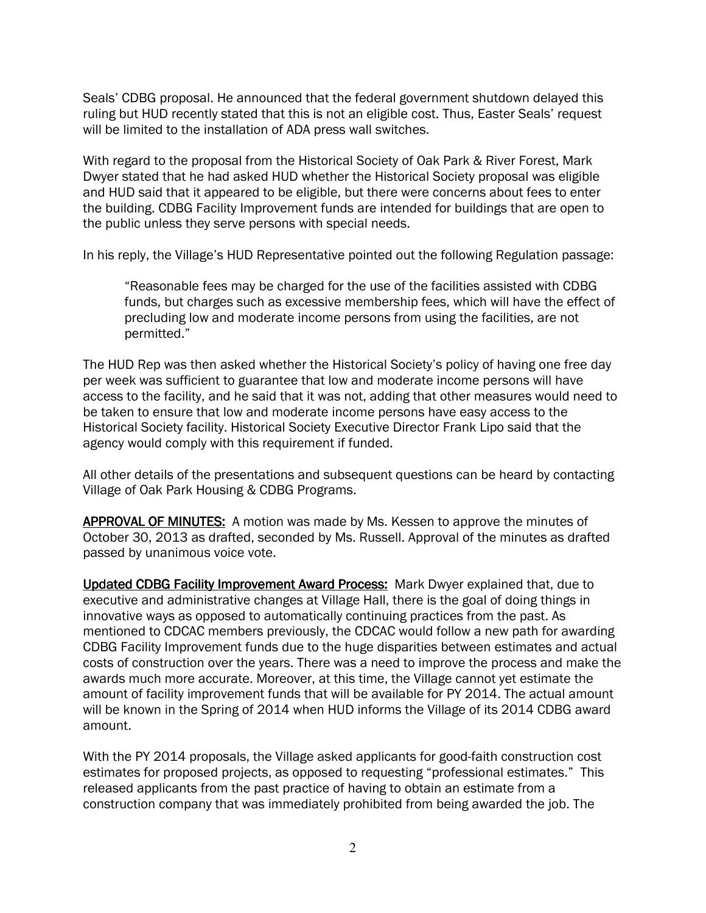Seals' CDBG proposal. He announced that the federal government shutdown delayed this ruling but HUD recently stated that this is not an eligible cost. Thus, Easter Seals' request will be limited to the installation of ADA press wall switches.

With regard to the proposal from the Historical Society of Oak Park & River Forest, Mark Dwyer stated that he had asked HUD whether the Historical Society proposal was eligible and HUD said that it appeared to be eligible, but there were concerns about fees to enter the building. CDBG Facility Improvement funds are intended for buildings that are open to the public unless they serve persons with special needs.

In his reply, the Village's HUD Representative pointed out the following Regulation passage:

"Reasonable fees may be charged for the use of the facilities assisted with CDBG funds, but charges such as excessive membership fees, which will have the effect of precluding low and moderate income persons from using the facilities, are not permitted."

The HUD Rep was then asked whether the Historical Society's policy of having one free day per week was sufficient to guarantee that low and moderate income persons will have access to the facility, and he said that it was not, adding that other measures would need to be taken to ensure that low and moderate income persons have easy access to the Historical Society facility. Historical Society Executive Director Frank Lipo said that the agency would comply with this requirement if funded.

All other details of the presentations and subsequent questions can be heard by contacting Village of Oak Park Housing & CDBG Programs.

APPROVAL OF MINUTES: A motion was made by Ms. Kessen to approve the minutes of October 30, 2013 as drafted, seconded by Ms. Russell. Approval of the minutes as drafted passed by unanimous voice vote.

Updated CDBG Facility Improvement Award Process: Mark Dwyer explained that, due to executive and administrative changes at Village Hall, there is the goal of doing things in innovative ways as opposed to automatically continuing practices from the past. As mentioned to CDCAC members previously, the CDCAC would follow a new path for awarding CDBG Facility Improvement funds due to the huge disparities between estimates and actual costs of construction over the years. There was a need to improve the process and make the awards much more accurate. Moreover, at this time, the Village cannot yet estimate the amount of facility improvement funds that will be available for PY 2014. The actual amount will be known in the Spring of 2014 when HUD informs the Village of its 2014 CDBG award amount.

With the PY 2014 proposals, the Village asked applicants for good-faith construction cost estimates for proposed projects, as opposed to requesting "professional estimates." This released applicants from the past practice of having to obtain an estimate from a construction company that was immediately prohibited from being awarded the job. The